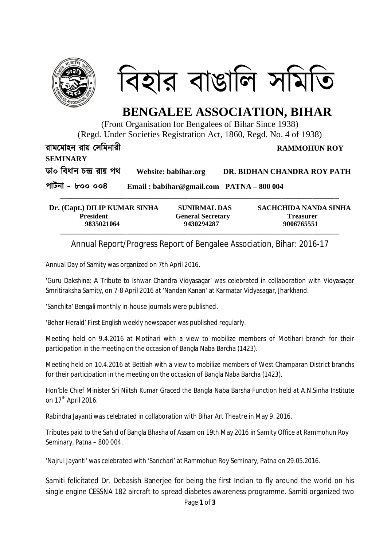

িবহার বাঙািল সিমিত

## **BENGALEE ASSOCIATION, BIHAR**

(Front Organisation for Bengalees of Bihar Since 1938)

(Regd. Under Societies Registration Act, 1860, Regd. No. 4 of 1938)

**রামেমাহন রায় Ʊসিমনারী RAMMOHUN ROY** 

**SEMINARY**

**ডা০ িবধান চģ রায় পথ Website: babihar.org DR. BIDHAN CHANDRA ROY PATH**

**পাটনা – ৮০০ ০০৪ Email : babihar@gmail.com PATNA – 800 004**

| Dr. (Capt.) DILIP KUMAR SINHA | <b>SUNIRMAL DAS</b>      | SACHCHIDA NANDA SINHA |
|-------------------------------|--------------------------|-----------------------|
| <b>President</b>              | <b>General Secretary</b> | <b>Treasurer</b>      |
| 9835021064                    | 9430294287               | 9006765551            |

Annual Report/Progress Report of Bengalee Association, Bihar: 2016-17

Annual Day of Samity was organized on 7th April 2016.

'Guru Dakshina: A Tribute to Ishwar Chandra Vidyasagar' was celebrated in collaboration with Vidyasagar Smritiraksha Samity, on 7-8 April 2016 at 'Nandan Kanan' at Karmatar Vidyasagar, Jharkhand.

'Sanchita' Bengali monthly in-house journals were published.

'Behar Herald' First English weekly newspaper was published regularly.

Meeting held on 9.4.2016 at Motihari with a view to mobilize members of Motihari branch for their participation in the meeting on the occasion of Bangla Naba Barcha (1423).

Meeting held on 10.4.2016 at Bettiah with a view to mobilize members of West Champaran District branchs for their participation in the meeting on the occasion of Bangla Naba Barcha (1423).

Hon'ble Chief Minister Sri Niitsh Kumar Graced the Bangla Naba Barsha Function held at A.N.Sinha Institute on  $17<sup>th</sup>$  April 2016.

Rabindra Jayanti was celebrated in collaboration with Bihar Art Theatre in May 9, 2016.

Tributes paid to the Sahid of Bangla Bhasha of Assam on 19th May 2016 in Samity Office at Rammohun Roy Seminary, Patna – 800 004.

'Najrul Jayanti' was celebrated with 'Sanchari' at Rammohun Roy Seminary, Patna on 29.05.2016.

Samiti felicitated Dr. Debasish Banerjee for being the first Indian to fly around the world on his single engine CESSNA 182 aircraft to spread diabetes awareness programme. Samiti organized two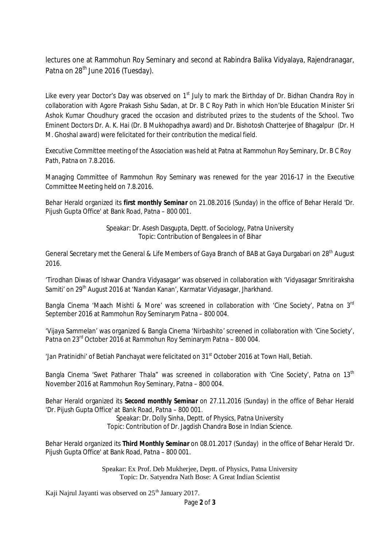lectures one at Rammohun Roy Seminary and second at Rabindra Balika Vidyalaya, Rajendranagar, Patna on 28<sup>th</sup> June 2016 (Tuesday).

Like every year Doctor's Day was observed on 1<sup>st</sup> July to mark the Birthday of Dr. Bidhan Chandra Roy in collaboration with Agore Prakash Sishu Sadan, at Dr. B C Roy Path in which Hon'ble Education Minister Sri Ashok Kumar Choudhury graced the occasion and distributed prizes to the students of the School. Two Eminent Doctors Dr. A. K. Hai (Dr. B Mukhopadhya award) and Dr. Bishotosh Chatterjee of Bhagalpur (Dr. H M. Ghoshal award) were felicitated for their contribution the medical field.

Executive Committee meeting of the Association was held at Patna at Rammohun Roy Seminary, Dr. B C Roy Path, Patna on 7.8.2016.

Managing Committee of Rammohun Roy Seminary was renewed for the year 2016-17 in the Executive Committee Meeting held on 7.8.2016.

Behar Herald organized its *first monthly Seminar* on 21.08.2016 (Sunday) in the office of Behar Herald 'Dr. Pijush Gupta Office' at Bank Road, Patna – 800 001.

> Speakar: Dr. Asesh Dasgupta, Deptt. of Sociology, Patna University Topic: Contribution of Bengalees in of Bihar

General Secretary met the General & Life Members of Gaya Branch of BAB at Gaya Durgabari on 28<sup>th</sup> August 2016.

'Tirodhan Diwas of Ishwar Chandra Vidyasagar' was observed in collaboration with 'Vidyasagar Smritiraksha Samiti' on 29<sup>th</sup> August 2016 at 'Nandan Kanan', Karmatar Vidyasagar, Jharkhand.

Bangla Cinema 'Maach Mishti & More' was screened in collaboration with 'Cine Society', Patna on 3<sup>rd</sup> September 2016 at Rammohun Roy Seminarym Patna – 800 004.

'Vijaya Sammelan' was organized & Bangla Cinema 'Nirbashito' screened in collaboration with 'Cine Society', Patna on 23rd October 2016 at Rammohun Roy Seminarym Patna – 800 004.

'Jan Pratinidhi' of Betiah Panchayat were felicitated on 31st October 2016 at Town Hall, Betiah.

Bangla Cinema 'Swet Patharer Thala" was screened in collaboration with 'Cine Society', Patna on 13<sup>th</sup> November 2016 at Rammohun Roy Seminary, Patna – 800 004.

Behar Herald organized its *Second monthly Seminar* on 27.11.2016 (Sunday) in the office of Behar Herald 'Dr. Pijush Gupta Office' at Bank Road, Patna – 800 001.

> Speakar: Dr. Dolly Sinha, Deptt. of Physics, Patna University Topic: Contribution of Dr. Jagdish Chandra Bose in Indian Science.

Behar Herald organized its *Third Monthly Seminar* on 08.01.2017 (Sunday) in the office of Behar Herald 'Dr. Pijush Gupta Office' at Bank Road, Patna – 800 001.

> Speakar: Ex Prof. Deb Mukherjee, Deptt. of Physics, Patna University Topic: Dr. Satyendra Nath Bose: A Great Indian Scientist

Kaji Najrul Jayanti was observed on 25<sup>th</sup> January 2017.